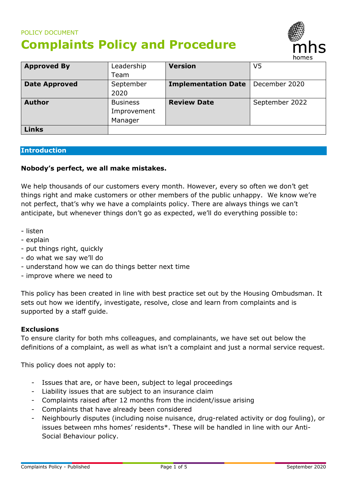# POLICY DOCUMENT **Complaints Policy and Procedure**



| <b>Approved By</b>   | Leadership      | <b>Version</b>             | V5             |
|----------------------|-----------------|----------------------------|----------------|
|                      | Team            |                            |                |
| <b>Date Approved</b> | September       | <b>Implementation Date</b> | December 2020  |
|                      | 2020            |                            |                |
| <b>Author</b>        | <b>Business</b> | <b>Review Date</b>         | September 2022 |
|                      | Improvement     |                            |                |
|                      | Manager         |                            |                |
| <b>Links</b>         |                 |                            |                |

#### **Introduction**

#### **Nobody's perfect, we all make mistakes.**

We help thousands of our customers every month. However, every so often we don't get things right and make customers or other members of the public unhappy. We know we're not perfect, that's why we have a complaints policy. There are always things we can't anticipate, but whenever things don't go as expected, we'll do everything possible to:

- listen
- explain
- put things right, quickly
- do what we say we'll do
- understand how we can do things better next time
- improve where we need to

This policy has been created in line with best practice set out by the Housing Ombudsman. It sets out how we identify, investigate, resolve, close and learn from complaints and is supported by a staff guide.

#### **Exclusions**

To ensure clarity for both mhs colleagues, and complainants, we have set out below the definitions of a complaint, as well as what isn't a complaint and just a normal service request.

This policy does not apply to:

- Issues that are, or have been, subject to legal proceedings
- Liability issues that are subject to an insurance claim
- Complaints raised after 12 months from the incident/issue arising
- Complaints that have already been considered
- Neighbourly disputes (including noise nuisance, drug-related activity or dog fouling), or issues between mhs homes' residents\*. These will be handled in line with our Anti-Social Behaviour policy.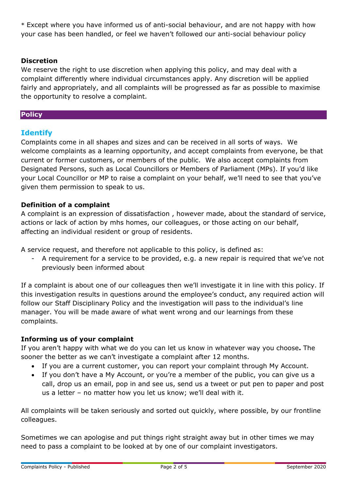\* Except where you have informed us of anti-social behaviour, and are not happy with how your case has been handled, or feel we haven't followed our anti-social behaviour policy

### **Discretion**

We reserve the right to use discretion when applying this policy, and may deal with a complaint differently where individual circumstances apply. Any discretion will be applied fairly and appropriately, and all complaints will be progressed as far as possible to maximise the opportunity to resolve a complaint.

### **Policy**

# **Identify**

Complaints come in all shapes and sizes and can be received in all sorts of ways. We welcome complaints as a learning opportunity, and accept complaints from everyone, be that current or former customers, or members of the public. We also accept complaints from Designated Persons, such as Local Councillors or Members of Parliament (MPs). If you'd like your Local Councillor or MP to raise a complaint on your behalf, we'll need to see that you've given them permission to speak to us.

### **Definition of a complaint**

A complaint is an expression of dissatisfaction , however made, about the standard of service, actions or lack of action by mhs homes, our colleagues, or those acting on our behalf, affecting an individual resident or group of residents.

A service request, and therefore not applicable to this policy, is defined as:

A requirement for a service to be provided, e.g. a new repair is required that we've not previously been informed about

If a complaint is about one of our colleagues then we'll investigate it in line with this policy. If this investigation results in questions around the employee's conduct, any required action will follow our Staff Disciplinary Policy and the investigation will pass to the individual's line manager. You will be made aware of what went wrong and our learnings from these complaints.

### **Informing us of your complaint**

If you aren't happy with what we do you can let us know in whatever way you choose**.** The sooner the better as we can't investigate a complaint after 12 months.

- If you are a current customer, you can report your complaint through My Account.
- If you don't have a My Account, or you're a member of the public, you can give us a call, drop us an email, pop in and see us, send us a tweet or put pen to paper and post us a letter – no matter how you let us know; we'll deal with it.

All complaints will be taken seriously and sorted out quickly, where possible, by our frontline colleagues.

Sometimes we can apologise and put things right straight away but in other times we may need to pass a complaint to be looked at by one of our complaint investigators.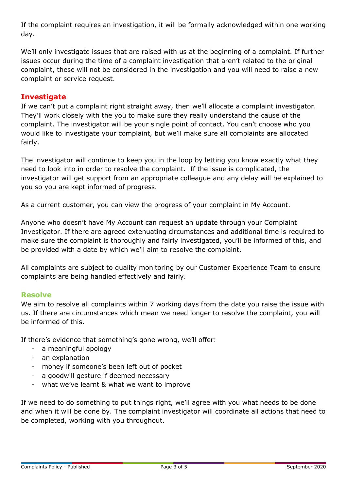If the complaint requires an investigation, it will be formally acknowledged within one working day.

We'll only investigate issues that are raised with us at the beginning of a complaint. If further issues occur during the time of a complaint investigation that aren't related to the original complaint, these will not be considered in the investigation and you will need to raise a new complaint or service request.

# **Investigate**

If we can't put a complaint right straight away, then we'll allocate a complaint investigator. They'll work closely with the you to make sure they really understand the cause of the complaint. The investigator will be your single point of contact. You can't choose who you would like to investigate your complaint, but we'll make sure all complaints are allocated fairly.

The investigator will continue to keep you in the loop by letting you know exactly what they need to look into in order to resolve the complaint. If the issue is complicated, the investigator will get support from an appropriate colleague and any delay will be explained to you so you are kept informed of progress.

As a current customer, you can view the progress of your complaint in My Account.

Anyone who doesn't have My Account can request an update through your Complaint Investigator. If there are agreed extenuating circumstances and additional time is required to make sure the complaint is thoroughly and fairly investigated, you'll be informed of this, and be provided with a date by which we'll aim to resolve the complaint.

All complaints are subject to quality monitoring by our Customer Experience Team to ensure complaints are being handled effectively and fairly.

# **Resolve**

We aim to resolve all complaints within 7 working days from the date you raise the issue with us. If there are circumstances which mean we need longer to resolve the complaint, you will be informed of this.

If there's evidence that something's gone wrong, we'll offer:

- a meaningful apology
- an explanation
- money if someone's been left out of pocket
- a goodwill gesture if deemed necessary
- what we've learnt & what we want to improve

If we need to do something to put things right, we'll agree with you what needs to be done and when it will be done by. The complaint investigator will coordinate all actions that need to be completed, working with you throughout.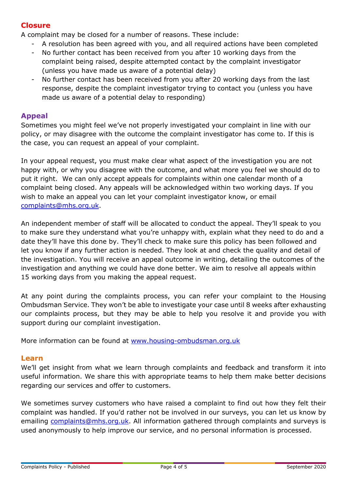# **Closure**

A complaint may be closed for a number of reasons. These include:

- A resolution has been agreed with you, and all required actions have been completed
- No further contact has been received from you after 10 working days from the complaint being raised, despite attempted contact by the complaint investigator (unless you have made us aware of a potential delay)
- No further contact has been received from you after 20 working days from the last response, despite the complaint investigator trying to contact you (unless you have made us aware of a potential delay to responding)

### **Appeal**

Sometimes you might feel we've not properly investigated your complaint in line with our policy, or may disagree with the outcome the complaint investigator has come to. If this is the case, you can request an appeal of your complaint.

In your appeal request, you must make clear what aspect of the investigation you are not happy with, or why you disagree with the outcome, and what more you feel we should do to put it right. We can only accept appeals for complaints within one calendar month of a complaint being closed. Any appeals will be acknowledged within two working days. If you wish to make an appeal you can let your complaint investigator know, or email [complaints@mhs.org.uk.](mailto:complaints@mhs.org.uk)

An independent member of staff will be allocated to conduct the appeal. They'll speak to you to make sure they understand what you're unhappy with, explain what they need to do and a date they'll have this done by. They'll check to make sure this policy has been followed and let you know if any further action is needed. They look at and check the quality and detail of the investigation. You will receive an appeal outcome in writing, detailing the outcomes of the investigation and anything we could have done better. We aim to resolve all appeals within 15 working days from you making the appeal request.

At any point during the complaints process, you can refer your complaint to the Housing Ombudsman Service. They won't be able to investigate your case until 8 weeks after exhausting our complaints process, but they may be able to help you resolve it and provide you with support during our complaint investigation.

More information can be found at [www.housing-ombudsman.org.uk](http://www.housing-ombudsman.org.uk/)

### **Learn**

We'll get insight from what we learn through complaints and feedback and transform it into useful information. We share this with appropriate teams to help them make better decisions regarding our services and offer to customers.

We sometimes survey customers who have raised a complaint to find out how they felt their complaint was handled. If you'd rather not be involved in our surveys, you can let us know by emailing [complaints@mhs.org.uk.](mailto:complaints@mhs.org.uk) All information gathered through complaints and surveys is used anonymously to help improve our service, and no personal information is processed.